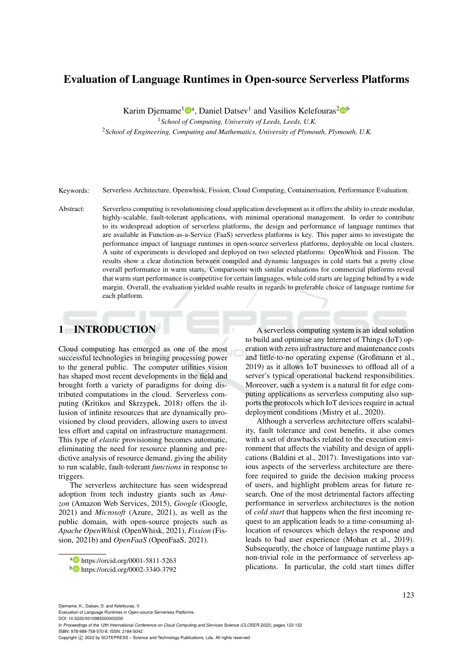# Evaluation of Language Runtimes in Open-source Serverless Platforms

Karim Djemame<sup>1</sup><sup>®</sup><sup>a</sup>, Daniel Datsev<sup>1</sup> and Vasilios Kelefouras<sup>2</sup><sup>®</sup>

<sup>1</sup>*School of Computing, University of Leeds, Leeds, U.K.*

<sup>2</sup>*School of Engineering, Computing and Mathematics, University of Plymouth, Plymouth, U.K.*

Keywords: Serverless Architecture, Openwhisk, Fission, Cloud Computing, Containerisation, Performance Evaluation.

Abstract: Serverless computing is revolutionising cloud application development as it offers the ability to create modular, highly-scalable, fault-tolerant applications, with minimal operational management. In order to contribute to its widespread adoption of serverless platforms, the design and performance of language runtimes that are available in Function-as-a-Service (FaaS) serverless platforms is key. This paper aims to investigate the performance impact of language runtimes in open-source serverless platforms, deployable on local clusters. A suite of experiments is developed and deployed on two selected platforms: OpenWhisk and Fission. The results show a clear distinction between compiled and dynamic languages in cold starts but a pretty close overall performance in warm starts. Comparisons with similar evaluations for commercial platforms reveal that warm start performance is competitive for certain languages, while cold starts are lagging behind by a wide margin. Overall, the evaluation yielded usable results in regards to preferable choice of language runtime for each platform.

## 1 INTRODUCTION

Cloud computing has emerged as one of the most successful technologies in bringing processing power to the general public. The computer utilities vision has shaped most recent developments in the field and brought forth a variety of paradigms for doing distributed computations in the cloud. Serverless computing (Kritikos and Skrzypek, 2018) offers the illusion of infinite resources that are dynamically provisioned by cloud providers, allowing users to invest less effort and capital on infrastructure management. This type of *elastic* provisioning becomes automatic, eliminating the need for resource planning and predictive analysis of resource demand, giving the ability to run scalable, fault-tolerant *functions* in response to triggers.

The serverless architecture has seen widespread adoption from tech industry giants such as *Amazon* (Amazon Web Services, 2015), *Google* (Google, 2021) and *Microsoft* (Azure, 2021), as well as the public domain, with open-source projects such as *Apache OpenWhisk* (OpenWhisk, 2021), *Fission* (Fission, 2021b) and *OpenFaaS* (OpenFaaS, 2021).

A serverless computing system is an ideal solution to build and optimise any Internet of Things (IoT) operation with zero infrastructure and maintenance costs and little-to-no operating expense (Großmann et al., 2019) as it allows IoT businesses to offload all of a server's typical operational backend responsibilities. Moreover, such a system is a natural fit for edge computing applications as serverless computing also supports the protocols which IoT devices require in actual deployment conditions (Mistry et al., 2020).

Although a serverless architecture offers scalability, fault tolerance and cost benefits, it also comes with a set of drawbacks related to the execution environment that affects the viability and design of applications (Baldini et al., 2017). Investigations into various aspects of the serverless architecture are therefore required to guide the decision making process of users, and highlight problem areas for future research. One of the most detrimental factors affecting performance in serverless architectures is the notion of *cold start* that happens when the first incoming request to an application leads to a time-consuming allocation of resources which delays the response and leads to bad user experience (Mohan et al., 2019). Subsequently, the choice of language runtime plays a non-trivial role in the performance of serverless applications. In particular, the cold start times differ

Djemame, K., Datsev, D. and Kelefouras, V. Evaluation of Language Runtimes in Open-source Serverless Platforms.

DOI: 10.5220/0010983000003200

In *Proceedings of the 12th International Conference on Cloud Computing and Services Science (CLOSER 2022)*, pages 123-132 ISBN: 978-989-758-570-8; ISSN: 2184-5042

Copyright (C) 2022 by SCITEPRESS - Science and Technology Publications, Lda. All rights reserved

a https://orcid.org/0001-5811-5263

<sup>b</sup> https://orcid.org/0002-3340-3792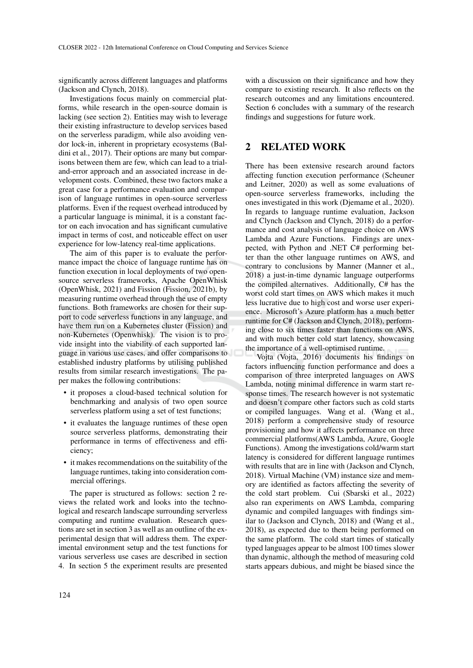significantly across different languages and platforms (Jackson and Clynch, 2018).

Investigations focus mainly on commercial platforms, while research in the open-source domain is lacking (see section 2). Entities may wish to leverage their existing infrastructure to develop services based on the serverless paradigm, while also avoiding vendor lock-in, inherent in proprietary ecosystems (Baldini et al., 2017). Their options are many but comparisons between them are few, which can lead to a trialand-error approach and an associated increase in development costs. Combined, these two factors make a great case for a performance evaluation and comparison of language runtimes in open-source serverless platforms. Even if the request overhead introduced by a particular language is minimal, it is a constant factor on each invocation and has significant cumulative impact in terms of cost, and noticeable effect on user experience for low-latency real-time applications.

The aim of this paper is to evaluate the performance impact the choice of language runtime has on function execution in local deployments of two opensource serverless frameworks, Apache OpenWhisk (OpenWhisk, 2021) and Fission (Fission, 2021b), by measuring runtime overhead through the use of empty functions. Both frameworks are chosen for their support to code serverless functions in any language, and have them run on a Kubernetes cluster (Fission) and non-Kubernetes (Openwhisk). The vision is to provide insight into the viability of each supported language in various use cases, and offer comparisons to established industry platforms by utilising published results from similar research investigations. The paper makes the following contributions:

- it proposes a cloud-based technical solution for benchmarking and analysis of two open source serverless platform using a set of test functions;
- it evaluates the language runtimes of these open source serverless platforms, demonstrating their performance in terms of effectiveness and efficiency;
- it makes recommendations on the suitability of the language runtimes, taking into consideration commercial offerings.

The paper is structured as follows: section 2 reviews the related work and looks into the technological and research landscape surrounding serverless computing and runtime evaluation. Research questions are set in section 3 as well as an outline of the experimental design that will address them. The experimental environment setup and the test functions for various serverless use cases are described in section 4. In section 5 the experiment results are presented

with a discussion on their significance and how they compare to existing research. It also reflects on the research outcomes and any limitations encountered. Section 6 concludes with a summary of the research findings and suggestions for future work.

### 2 RELATED WORK

There has been extensive research around factors affecting function execution performance (Scheuner and Leitner, 2020) as well as some evaluations of open-source serverless frameworks, including the ones investigated in this work (Djemame et al., 2020). In regards to language runtime evaluation, Jackson and Clynch (Jackson and Clynch, 2018) do a performance and cost analysis of language choice on AWS Lambda and Azure Functions. Findings are unexpected, with Python and .NET C# performing better than the other language runtimes on AWS, and contrary to conclusions by Manner (Manner et al., 2018) a just-in-time dynamic language outperforms the compiled alternatives. Additionally, C# has the worst cold start times on AWS which makes it much less lucrative due to high cost and worse user experience. Microsoft's Azure platform has a much better runtime for C# (Jackson and Clynch, 2018), performing close to six times faster than functions on AWS, and with much better cold start latency, showcasing the importance of a well-optimised runtime.

Vojta (Vojta, 2016) documents his findings on factors influencing function performance and does a comparison of three interpreted languages on AWS Lambda, noting minimal difference in warm start response times. The research however is not systematic and doesn't compare other factors such as cold starts or compiled languages. Wang et al. (Wang et al., 2018) perform a comprehensive study of resource provisioning and how it affects performance on three commercial platforms(AWS Lambda, Azure, Google Functions). Among the investigations cold/warm start latency is considered for different language runtimes with results that are in line with (Jackson and Clynch, 2018). Virtual Machine (VM) instance size and memory are identified as factors affecting the severity of the cold start problem. Cui (Sbarski et al., 2022) also ran experiments on AWS Lambda, comparing dynamic and compiled languages with findings similar to (Jackson and Clynch, 2018) and (Wang et al., 2018), as expected due to them being performed on the same platform. The cold start times of statically typed languages appear to be almost 100 times slower than dynamic, although the method of measuring cold starts appears dubious, and might be biased since the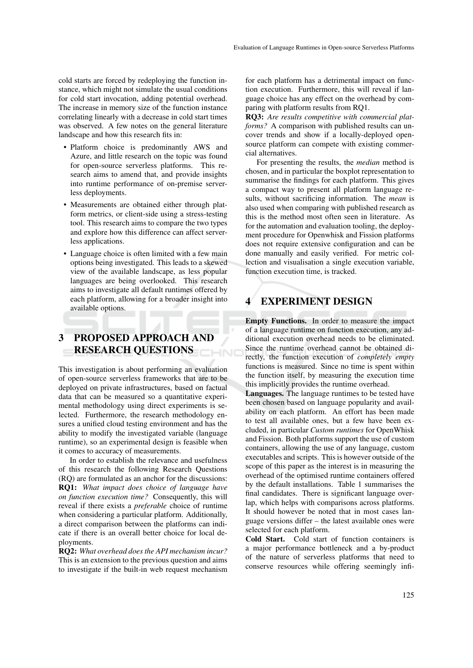cold starts are forced by redeploying the function instance, which might not simulate the usual conditions for cold start invocation, adding potential overhead. The increase in memory size of the function instance correlating linearly with a decrease in cold start times was observed. A few notes on the general literature landscape and how this research fits in:

- Platform choice is predominantly AWS and Azure, and little research on the topic was found for open-source serverless platforms. This research aims to amend that, and provide insights into runtime performance of on-premise serverless deployments.
- Measurements are obtained either through platform metrics, or client-side using a stress-testing tool. This research aims to compare the two types and explore how this difference can affect serverless applications.
- Language choice is often limited with a few main options being investigated. This leads to a skewed view of the available landscape, as less popular languages are being overlooked. This research aims to investigate all default runtimes offered by each platform, allowing for a broader insight into available options.

## 3 PROPOSED APPROACH AND RESEARCH QUESTIONS

This investigation is about performing an evaluation of open-source serverless frameworks that are to be deployed on private infrastructures, based on factual data that can be measured so a quantitative experimental methodology using direct experiments is selected. Furthermore, the research methodology ensures a unified cloud testing environment and has the ability to modify the investigated variable (language runtime), so an experimental design is feasible when it comes to accuracy of measurements.

In order to establish the relevance and usefulness of this research the following Research Questions (RQ) are formulated as an anchor for the discussions: RQ1: *What impact does choice of language have on function execution time?* Consequently, this will reveal if there exists a *preferable* choice of runtime when considering a particular platform. Additionally, a direct comparison between the platforms can indicate if there is an overall better choice for local deployments.

RQ2: *What overhead does the API mechanism incur?* This is an extension to the previous question and aims to investigate if the built-in web request mechanism

for each platform has a detrimental impact on function execution. Furthermore, this will reveal if language choice has any effect on the overhead by comparing with platform results from RQ1.

RQ3: *Are results competitive with commercial platforms?* A comparison with published results can uncover trends and show if a locally-deployed opensource platform can compete with existing commercial alternatives.

For presenting the results, the *median* method is chosen, and in particular the boxplot representation to summarise the findings for each platform. This gives a compact way to present all platform language results, without sacrificing information. The *mean* is also used when comparing with published research as this is the method most often seen in literature. As for the automation and evaluation tooling, the deployment procedure for Openwhisk and Fission platforms does not require extensive configuration and can be done manually and easily verified. For metric collection and visualisation a single execution variable, function execution time, is tracked.

### 4 EXPERIMENT DESIGN

Empty Functions. In order to measure the impact of a language runtime on function execution, any additional execution overhead needs to be eliminated. Since the runtime overhead cannot be obtained directly, the function execution of *completely empty* functions is measured. Since no time is spent within the function itself, by measuring the execution time this implicitly provides the runtime overhead.

Languages. The language runtimes to be tested have been chosen based on language popularity and availability on each platform. An effort has been made to test all available ones, but a few have been excluded, in particular *Custom runtimes* for OpenWhisk and Fission. Both platforms support the use of custom containers, allowing the use of any language, custom executables and scripts. This is however outside of the scope of this paper as the interest is in measuring the overhead of the optimised runtime containers offered by the default installations. Table 1 summarises the final candidates. There is significant language overlap, which helps with comparisons across platforms. It should however be noted that in most cases language versions differ – the latest available ones were selected for each platform.

Cold Start. Cold start of function containers is a major performance bottleneck and a by-product of the nature of serverless platforms that need to conserve resources while offering seemingly infi-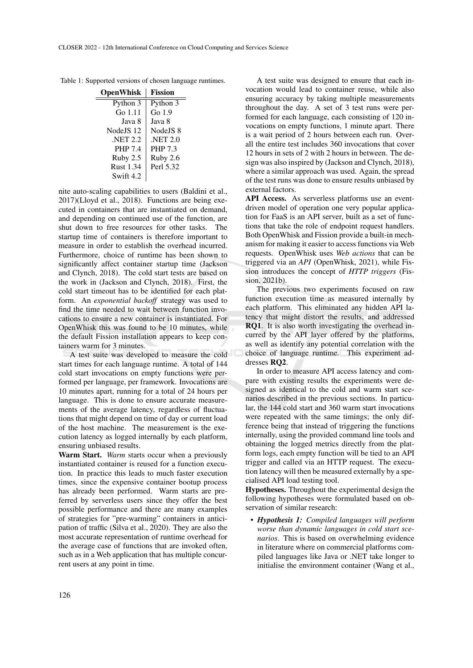Table 1: Supported versions of chosen language runtimes.

| <b>OpenWhisk</b> | <b>Fission</b> |
|------------------|----------------|
| Python 3         | Python 3       |
| Go 1.11          | Go $1.9$       |
| Java 8           | Java 8         |
| NodeJS 12        | Node IS 8      |
| <b>NET 2.2</b>   | <b>NET 2.0</b> |
| <b>PHP 7.4</b>   | <b>PHP 7.3</b> |
| Ruby 2.5         | Ruby 2.6       |
| <b>Rust 1.34</b> | Perl 5.32      |
| Swift 4.2        |                |

nite auto-scaling capabilities to users (Baldini et al., 2017)(Lloyd et al., 2018). Functions are being executed in containers that are instantiated on demand, and depending on continued use of the function, are shut down to free resources for other tasks. The startup time of containers is therefore important to measure in order to establish the overhead incurred. Furthermore, choice of runtime has been shown to significantly affect container startup time (Jackson and Clynch, 2018). The cold start tests are based on the work in (Jackson and Clynch, 2018). First, the cold start timeout has to be identified for each platform. An *exponential backoff* strategy was used to find the time needed to wait between function invocations to ensure a new container is instantiated. For OpenWhisk this was found to be 10 minutes, while the default Fission installation appears to keep containers warm for 3 minutes.

A test suite was developed to measure the cold start times for each language runtime. A total of 144 cold start invocations on empty functions were performed per language, per framework. Invocations are 10 minutes apart, running for a total of 24 hours per language. This is done to ensure accurate measurements of the average latency, regardless of fluctuations that might depend on time of day or current load of the host machine. The measurement is the execution latency as logged internally by each platform, ensuring unbiased results.

Warm Start. *Warm* starts occur when a previously instantiated container is reused for a function execution. In practice this leads to much faster execution times, since the expensive container bootup process has already been performed. Warm starts are preferred by serverless users since they offer the best possible performance and there are many examples of strategies for "pre-warming" containers in anticipation of traffic (Silva et al., 2020). They are also the most accurate representation of runtime overhead for the average case of functions that are invoked often, such as in a Web application that has multiple concurrent users at any point in time.

A test suite was designed to ensure that each invocation would lead to container reuse, while also ensuring accuracy by taking multiple measurements throughout the day. A set of 3 test runs were performed for each language, each consisting of 120 invocations on empty functions, 1 minute apart. There is a wait period of 2 hours between each run. Overall the entire test includes 360 invocations that cover 12 hours in sets of 2 with 2 hours in between. The design was also inspired by (Jackson and Clynch, 2018), where a similar approach was used. Again, the spread of the test runs was done to ensure results unbiased by external factors.

API Access. As serverless platforms use an eventdriven model of operation one very popular application for FaaS is an API server, built as a set of functions that take the role of endpoint request handlers. Both OpenWhisk and Fission provide a built-in mechanism for making it easier to access functions via Web requests. OpenWhisk uses *Web actions* that can be triggered via an *API* (OpenWhisk, 2021), while Fission introduces the concept of *HTTP triggers* (Fission, 2021b).

The previous two experiments focused on raw function execution time as measured internally by each platform. This eliminated any hidden API latency that might distort the results, and addressed RQ1. It is also worth investigating the overhead incurred by the API layer offered by the platforms, as well as identify any potential correlation with the choice of language runtime. This experiment addresses RQ2.

In order to measure API access latency and compare with existing results the experiments were designed as identical to the cold and warm start scenarios described in the previous sections. In particular, the 144 cold start and 360 warm start invocations were repeated with the same timings; the only difference being that instead of triggering the functions internally, using the provided command line tools and obtaining the logged metrics directly from the platform logs, each empty function will be tied to an API trigger and called via an HTTP request. The execution latency will then be measured externally by a specialised API load testing tool.

Hypotheses. Throughout the experimental design the following hypotheses were formulated based on observation of similar research:

• *Hypothesis 1: Compiled languages will perform worse than dynamic languages in cold start scenarios*. This is based on overwhelming evidence in literature where on commercial platforms compiled languages like Java or .NET take longer to initialise the environment container (Wang et al.,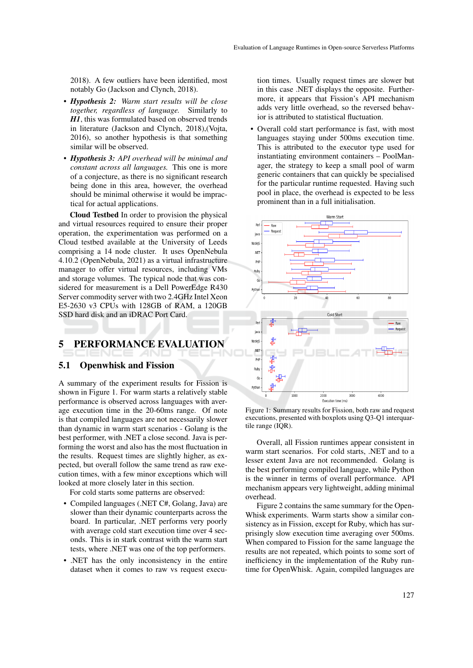2018). A few outliers have been identified, most notably Go (Jackson and Clynch, 2018).

- *Hypothesis 2: Warm start results will be close together, regardless of language.* Similarly to *H1*, this was formulated based on observed trends in literature (Jackson and Clynch, 2018),(Vojta, 2016), so another hypothesis is that something similar will be observed.
- *Hypothesis 3: API overhead will be minimal and constant across all languages.* This one is more of a conjecture, as there is no significant research being done in this area, however, the overhead should be minimal otherwise it would be impractical for actual applications.

Cloud Testbed In order to provision the physical and virtual resources required to ensure their proper operation, the experimentation was performed on a Cloud testbed available at the University of Leeds comprising a 14 node cluster. It uses OpenNebula 4.10.2 (OpenNebula, 2021) as a virtual infrastructure manager to offer virtual resources, including VMs and storage volumes. The typical node that was considered for measurement is a Dell PowerEdge R430 Server commodity server with two 2.4GHz Intel Xeon E5-2630 v3 CPUs with 128GB of RAM, a 120GB SSD hard disk and an iDRAC Port Card.

### 5 PERFORMANCE EVALUATION

#### 5.1 Openwhisk and Fission

A summary of the experiment results for Fission is shown in Figure 1. For warm starts a relatively stable performance is observed across languages with average execution time in the 20-60ms range. Of note is that compiled languages are not necessarily slower than dynamic in warm start scenarios - Golang is the best performer, with .NET a close second. Java is performing the worst and also has the most fluctuation in the results. Request times are slightly higher, as expected, but overall follow the same trend as raw execution times, with a few minor exceptions which will looked at more closely later in this section.

For cold starts some patterns are observed:

- Compiled languages (.NET C#, Golang, Java) are slower than their dynamic counterparts across the board. In particular, .NET performs very poorly with average cold start execution time over 4 seconds. This is in stark contrast with the warm start tests, where .NET was one of the top performers.
- .NET has the only inconsistency in the entire dataset when it comes to raw vs request execu-

tion times. Usually request times are slower but in this case .NET displays the opposite. Furthermore, it appears that Fission's API mechanism adds very little overhead, so the reversed behavior is attributed to statistical fluctuation.

• Overall cold start performance is fast, with most languages staying under 500ms execution time. This is attributed to the executor type used for instantiating environment containers – PoolManager, the strategy to keep a small pool of warm generic containers that can quickly be specialised for the particular runtime requested. Having such pool in place, the overhead is expected to be less prominent than in a full initialisation.



Figure 1: Summary results for Fission, both raw and request executions, presented with boxplots using Q3-Q1 interquartile range (IQR).

Overall, all Fission runtimes appear consistent in warm start scenarios. For cold starts, .NET and to a lesser extent Java are not recommended. Golang is the best performing compiled language, while Python is the winner in terms of overall performance. API mechanism appears very lightweight, adding minimal overhead.

Figure 2 contains the same summary for the Open-Whisk experiments. Warm starts show a similar consistency as in Fission, except for Ruby, which has surprisingly slow execution time averaging over 500ms. When compared to Fission for the same language the results are not repeated, which points to some sort of inefficiency in the implementation of the Ruby runtime for OpenWhisk. Again, compiled languages are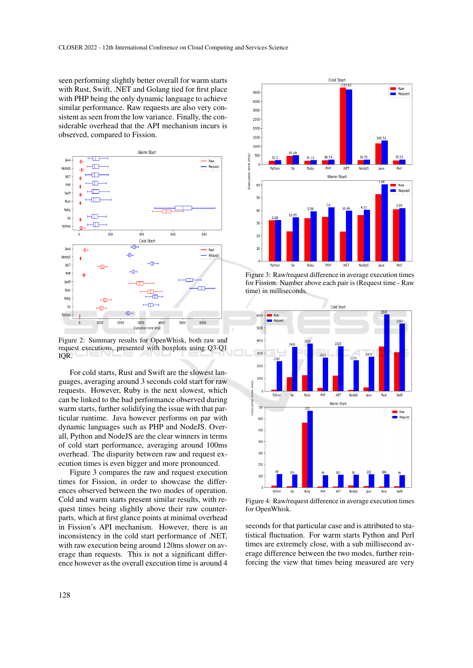seen performing slightly better overall for warm starts with Rust, Swift, .NET and Golang tied for first place with PHP being the only dynamic language to achieve similar performance. Raw requests are also very consistent as seen from the low variance. Finally, the considerable overhead that the API mechanism incurs is observed, compared to Fission.



Figure 2: Summary results for OpenWhisk, both raw and request executions, presented with boxplots using Q3-Q1 IQR.

For cold starts, Rust and Swift are the slowest languages, averaging around 3 seconds cold start for raw requests. However, Ruby is the next slowest, which can be linked to the bad performance observed during warm starts, further solidifying the issue with that particular runtime. Java however performs on par with dynamic languages such as PHP and NodeJS. Overall, Python and NodeJS are the clear winners in terms of cold start performance, averaging around 100ms overhead. The disparity between raw and request execution times is even bigger and more pronounced.

Figure 3 compares the raw and request execution times for Fission, in order to showcase the differences observed between the two modes of operation. Cold and warm starts present similar results, with request times being slightly above their raw counterparts, which at first glance points at minimal overhead in Fission's API mechanism. However, there is an inconsistency in the cold start performance of .NET, with raw execution being around 120ms slower on average than requests. This is not a significant difference however as the overall execution time is around 4



Figure 3: Raw/request difference in average execution times for Fission. Number above each pair is (Request time - Raw time) in milliseconds.



Figure 4: Raw/request difference in average execution times for OpenWhisk.

seconds for that particular case and is attributed to statistical fluctuation. For warm starts Python and Perl times are extremely close, with a sub millisecond average difference between the two modes, further reinforcing the view that times being measured are very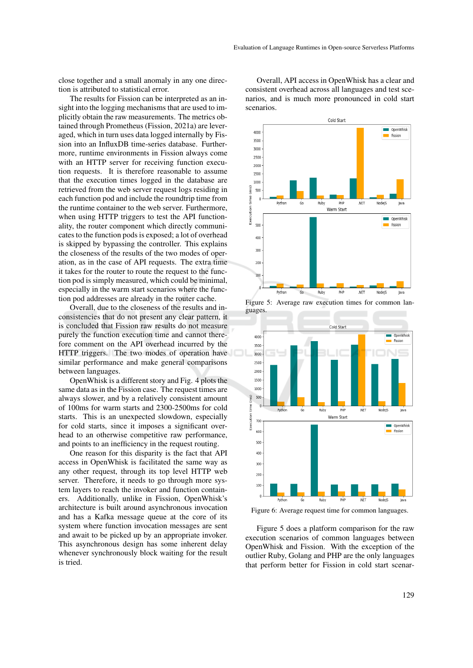close together and a small anomaly in any one direction is attributed to statistical error.

The results for Fission can be interpreted as an insight into the logging mechanisms that are used to implicitly obtain the raw measurements. The metrics obtained through Prometheus (Fission, 2021a) are leveraged, which in turn uses data logged internally by Fission into an InfluxDB time-series database. Furthermore, runtime environments in Fission always come with an HTTP server for receiving function execution requests. It is therefore reasonable to assume that the execution times logged in the database are retrieved from the web server request logs residing in each function pod and include the roundtrip time from the runtime container to the web server. Furthermore, when using HTTP triggers to test the API functionality, the router component which directly communicates to the function pods is exposed; a lot of overhead is skipped by bypassing the controller. This explains the closeness of the results of the two modes of operation, as in the case of API requests. The extra time it takes for the router to route the request to the function pod is simply measured, which could be minimal, especially in the warm start scenarios where the function pod addresses are already in the router cache.

Overall, due to the closeness of the results and inconsistencies that do not present any clear pattern, it is concluded that Fission raw results do not measure purely the function execution time and cannot therefore comment on the API overhead incurred by the HTTP triggers. The two modes of operation have similar performance and make general comparisons between languages.

OpenWhisk is a different story and Fig. 4 plots the same data as in the Fission case. The request times are always slower, and by a relatively consistent amount of 100ms for warm starts and 2300-2500ms for cold starts. This is an unexpected slowdown, especially for cold starts, since it imposes a significant overhead to an otherwise competitive raw performance, and points to an inefficiency in the request routing.

One reason for this disparity is the fact that API access in OpenWhisk is facilitated the same way as any other request, through its top level HTTP web server. Therefore, it needs to go through more system layers to reach the invoker and function containers. Additionally, unlike in Fission, OpenWhisk's architecture is built around asynchronous invocation and has a Kafka message queue at the core of its system where function invocation messages are sent and await to be picked up by an appropriate invoker. This asynchronous design has some inherent delay whenever synchronously block waiting for the result is tried.

Overall, API access in OpenWhisk has a clear and consistent overhead across all languages and test scenarios, and is much more pronounced in cold start scenarios.



Figure 5: Average raw execution times for common languages.



Figure 6: Average request time for common languages.

Figure 5 does a platform comparison for the raw execution scenarios of common languages between OpenWhisk and Fission. With the exception of the outlier Ruby, Golang and PHP are the only languages that perform better for Fission in cold start scenar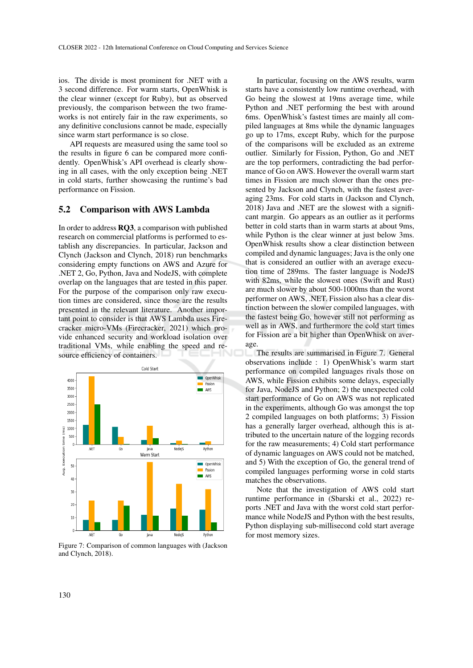ios. The divide is most prominent for .NET with a 3 second difference. For warm starts, OpenWhisk is the clear winner (except for Ruby), but as observed previously, the comparison between the two frameworks is not entirely fair in the raw experiments, so any definitive conclusions cannot be made, especially since warm start performance is so close.

API requests are measured using the same tool so the results in figure 6 can be compared more confidently. OpenWhisk's API overhead is clearly showing in all cases, with the only exception being .NET in cold starts, further showcasing the runtime's bad performance on Fission.

#### 5.2 Comparison with AWS Lambda

In order to address RQ3, a comparison with published research on commercial platforms is performed to establish any discrepancies. In particular, Jackson and Clynch (Jackson and Clynch, 2018) run benchmarks considering empty functions on AWS and Azure for .NET 2, Go, Python, Java and NodeJS, with complete overlap on the languages that are tested in this paper. For the purpose of the comparison only raw execution times are considered, since those are the results presented in the relevant literature. Another important point to consider is that AWS Lambda uses Firecracker micro-VMs (Firecracker, 2021) which provide enhanced security and workload isolation over traditional VMs, while enabling the speed and resource efficiency of containers.



Figure 7: Comparison of common languages with (Jackson and Clynch, 2018).

In particular, focusing on the AWS results, warm starts have a consistently low runtime overhead, with Go being the slowest at 19ms average time, while Python and .NET performing the best with around 6ms. OpenWhisk's fastest times are mainly all compiled languages at 8ms while the dynamic languages go up to 17ms, except Ruby, which for the purpose of the comparisons will be excluded as an extreme outlier. Similarly for Fission, Python, Go and .NET are the top performers, contradicting the bad performance of Go on AWS. However the overall warm start times in Fission are much slower than the ones presented by Jackson and Clynch, with the fastest averaging 23ms. For cold starts in (Jackson and Clynch, 2018) Java and .NET are the slowest with a significant margin. Go appears as an outlier as it performs better in cold starts than in warm starts at about 9ms, while Python is the clear winner at just below 3ms. OpenWhisk results show a clear distinction between compiled and dynamic languages; Java is the only one that is considered an outlier with an average execution time of 289ms. The faster language is NodeJS with 82ms, while the slowest ones (Swift and Rust) are much slower by about 500-1000ms than the worst performer on AWS, .NET. Fission also has a clear distinction between the slower compiled languages, with the fastest being Go, however still not performing as well as in AWS, and furthermore the cold start times for Fission are a bit higher than OpenWhisk on average.

The results are summarised in Figure 7. General observations include : 1) OpenWhisk's warm start performance on compiled languages rivals those on AWS, while Fission exhibits some delays, especially for Java, NodeJS and Python; 2) the unexpected cold start performance of Go on AWS was not replicated in the experiments, although Go was amongst the top 2 compiled languages on both platforms; 3) Fission has a generally larger overhead, although this is attributed to the uncertain nature of the logging records for the raw measurements; 4) Cold start performance of dynamic languages on AWS could not be matched, and 5) With the exception of Go, the general trend of compiled languages performing worse in cold starts matches the observations.

Note that the investigation of AWS cold start runtime performance in (Sbarski et al., 2022) reports .NET and Java with the worst cold start performance while NodeJS and Python with the best results, Python displaying sub-millisecond cold start average for most memory sizes.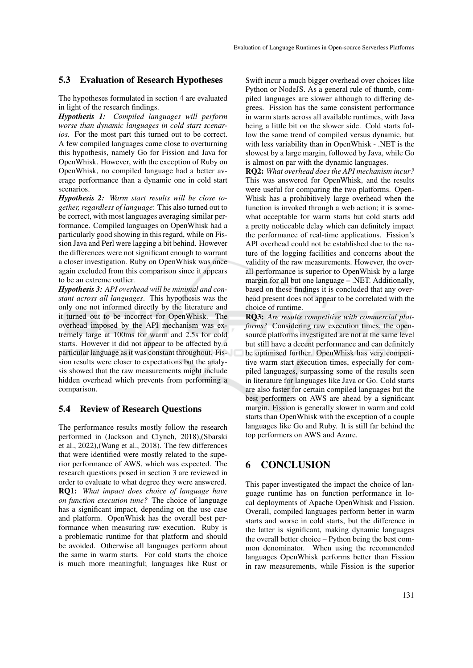#### 5.3 Evaluation of Research Hypotheses

The hypotheses formulated in section 4 are evaluated in light of the research findings.

*Hypothesis 1: Compiled languages will perform worse than dynamic languages in cold start scenarios*. For the most part this turned out to be correct. A few compiled languages came close to overturning this hypothesis, namely Go for Fission and Java for OpenWhisk. However, with the exception of Ruby on OpenWhisk, no compiled language had a better average performance than a dynamic one in cold start scenarios.

*Hypothesis 2: Warm start results will be close together, regardless of language*: This also turned out to be correct, with most languages averaging similar performance. Compiled languages on OpenWhisk had a particularly good showing in this regard, while on Fission Java and Perl were lagging a bit behind. However the differences were not significant enough to warrant a closer investigation. Ruby on OpenWhisk was once again excluded from this comparison since it appears to be an extreme outlier.

*Hypothesis 3: API overhead will be minimal and constant across all languages*. This hypothesis was the only one not informed directly by the literature and it turned out to be incorrect for OpenWhisk. The overhead imposed by the API mechanism was extremely large at 100ms for warm and 2.5s for cold starts. However it did not appear to be affected by a particular language as it was constant throughout. Fission results were closer to expectations but the analysis showed that the raw measurements might include hidden overhead which prevents from performing a comparison.

#### 5.4 Review of Research Questions

The performance results mostly follow the research performed in (Jackson and Clynch, 2018),(Sbarski et al., 2022),(Wang et al., 2018). The few differences that were identified were mostly related to the superior performance of AWS, which was expected. The research questions posed in section 3 are reviewed in order to evaluate to what degree they were answered. RQ1: *What impact does choice of language have on function execution time?* The choice of language has a significant impact, depending on the use case and platform. OpenWhisk has the overall best performance when measuring raw execution. Ruby is a problematic runtime for that platform and should be avoided. Otherwise all languages perform about the same in warm starts. For cold starts the choice is much more meaningful; languages like Rust or

Swift incur a much bigger overhead over choices like Python or NodeJS. As a general rule of thumb, compiled languages are slower although to differing degrees. Fission has the same consistent performance in warm starts across all available runtimes, with Java being a little bit on the slower side. Cold starts follow the same trend of compiled versus dynamic, but with less variability than in OpenWhisk - .NET is the slowest by a large margin, followed by Java, while Go is almost on par with the dynamic languages.

RQ2: *What overhead does the API mechanism incur?* This was answered for OpenWhisk, and the results were useful for comparing the two platforms. Open-Whisk has a prohibitively large overhead when the function is invoked through a web action; it is somewhat acceptable for warm starts but cold starts add a pretty noticeable delay which can definitely impact the performance of real-time applications. Fission's API overhead could not be established due to the nature of the logging facilities and concerns about the validity of the raw measurements. However, the overall performance is superior to OpenWhisk by a large margin for all but one language – .NET. Additionally, based on these findings it is concluded that any overhead present does not appear to be correlated with the choice of runtime.

RQ3: *Are results competitive with commercial platforms?* Considering raw execution times, the opensource platforms investigated are not at the same level but still have a decent performance and can definitely be optimised further. OpenWhisk has very competitive warm start execution times, especially for compiled languages, surpassing some of the results seen in literature for languages like Java or Go. Cold starts are also faster for certain compiled languages but the best performers on AWS are ahead by a significant margin. Fission is generally slower in warm and cold starts than OpenWhisk with the exception of a couple languages like Go and Ruby. It is still far behind the top performers on AWS and Azure.

### 6 CONCLUSION

This paper investigated the impact the choice of language runtime has on function performance in local deployments of Apache OpenWhisk and Fission. Overall, compiled languages perform better in warm starts and worse in cold starts, but the difference in the latter is significant, making dynamic languages the overall better choice – Python being the best common denominator. When using the recommended languages OpenWhisk performs better than Fission in raw measurements, while Fission is the superior